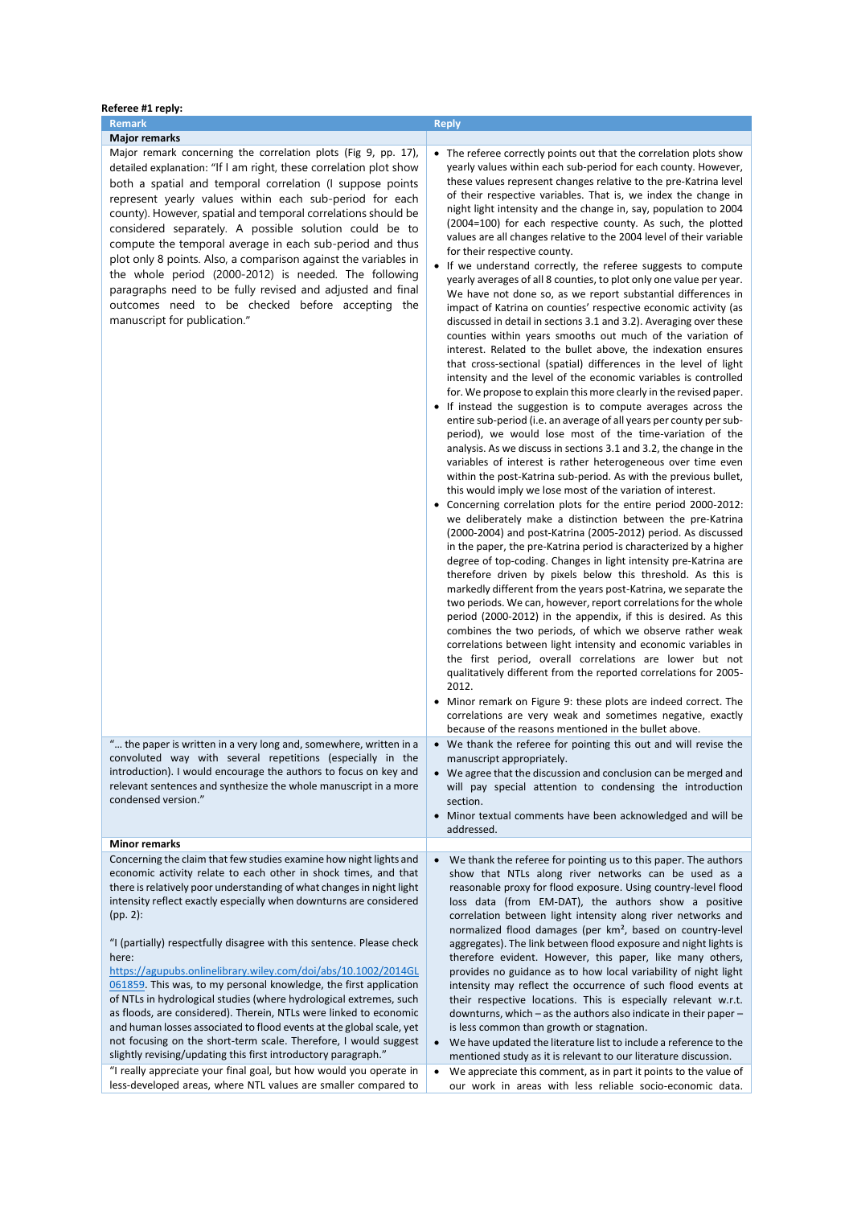| <b>Remark</b><br><b>Reply</b><br><b>Major remarks</b><br>Major remark concerning the correlation plots (Fig 9, pp. 17),<br>detailed explanation: "If I am right, these correlation plot show<br>both a spatial and temporal correlation (I suppose points<br>represent yearly values within each sub-period for each<br>county). However, spatial and temporal correlations should be<br>considered separately. A possible solution could be to<br>compute the temporal average in each sub-period and thus<br>for their respective county.<br>plot only 8 points. Also, a comparison against the variables in<br>the whole period (2000-2012) is needed. The following<br>paragraphs need to be fully revised and adjusted and final<br>outcomes need to be checked before accepting the<br>manuscript for publication."<br>2012.<br>" the paper is written in a very long and, somewhere, written in a<br>convoluted way with several repetitions (especially in the<br>manuscript appropriately.<br>introduction). I would encourage the authors to focus on key and<br>relevant sentences and synthesize the whole manuscript in a more<br>condensed version."<br>section.<br>addressed.<br><b>Minor remarks</b><br>Concerning the claim that few studies examine how night lights and<br>$\bullet$<br>economic activity relate to each other in shock times, and that<br>there is relatively poor understanding of what changes in night light<br>intensity reflect exactly especially when downturns are considered<br>(pp. 2):<br>"I (partially) respectfully disagree with this sentence. Please check<br>here:<br>https://agupubs.onlinelibrary.wiley.com/doi/abs/10.1002/2014GL<br>061859. This was, to my personal knowledge, the first application<br>of NTLs in hydrological studies (where hydrological extremes, such<br>as floods, are considered). Therein, NTLs were linked to economic<br>and human losses associated to flood events at the global scale, yet | Referee #1 reply:                                                                                                                                                                                                                                                                                                                                                                                                                                                                                                                                                                                                                                                                                                                                                                                                                                                                                                                                                                                                                                                                                                                                                                                                                                                                                                                                                                                                                                                                                                                                                                                                                                                                                                                                                                                                                                                                                                                                                                                                                                                                                                                                                                                                                                                                                                                                                                                                                                                                                                                                                                                                                                                                                                                          |  |  |
|-----------------------------------------------------------------------------------------------------------------------------------------------------------------------------------------------------------------------------------------------------------------------------------------------------------------------------------------------------------------------------------------------------------------------------------------------------------------------------------------------------------------------------------------------------------------------------------------------------------------------------------------------------------------------------------------------------------------------------------------------------------------------------------------------------------------------------------------------------------------------------------------------------------------------------------------------------------------------------------------------------------------------------------------------------------------------------------------------------------------------------------------------------------------------------------------------------------------------------------------------------------------------------------------------------------------------------------------------------------------------------------------------------------------------------------------------------------------------------------------------------------------------------------------------------------------------------------------------------------------------------------------------------------------------------------------------------------------------------------------------------------------------------------------------------------------------------------------------------------------------------------------------------------------------------------------------------------------------------------|--------------------------------------------------------------------------------------------------------------------------------------------------------------------------------------------------------------------------------------------------------------------------------------------------------------------------------------------------------------------------------------------------------------------------------------------------------------------------------------------------------------------------------------------------------------------------------------------------------------------------------------------------------------------------------------------------------------------------------------------------------------------------------------------------------------------------------------------------------------------------------------------------------------------------------------------------------------------------------------------------------------------------------------------------------------------------------------------------------------------------------------------------------------------------------------------------------------------------------------------------------------------------------------------------------------------------------------------------------------------------------------------------------------------------------------------------------------------------------------------------------------------------------------------------------------------------------------------------------------------------------------------------------------------------------------------------------------------------------------------------------------------------------------------------------------------------------------------------------------------------------------------------------------------------------------------------------------------------------------------------------------------------------------------------------------------------------------------------------------------------------------------------------------------------------------------------------------------------------------------------------------------------------------------------------------------------------------------------------------------------------------------------------------------------------------------------------------------------------------------------------------------------------------------------------------------------------------------------------------------------------------------------------------------------------------------------------------------------------------------|--|--|
|                                                                                                                                                                                                                                                                                                                                                                                                                                                                                                                                                                                                                                                                                                                                                                                                                                                                                                                                                                                                                                                                                                                                                                                                                                                                                                                                                                                                                                                                                                                                                                                                                                                                                                                                                                                                                                                                                                                                                                                   |                                                                                                                                                                                                                                                                                                                                                                                                                                                                                                                                                                                                                                                                                                                                                                                                                                                                                                                                                                                                                                                                                                                                                                                                                                                                                                                                                                                                                                                                                                                                                                                                                                                                                                                                                                                                                                                                                                                                                                                                                                                                                                                                                                                                                                                                                                                                                                                                                                                                                                                                                                                                                                                                                                                                            |  |  |
|                                                                                                                                                                                                                                                                                                                                                                                                                                                                                                                                                                                                                                                                                                                                                                                                                                                                                                                                                                                                                                                                                                                                                                                                                                                                                                                                                                                                                                                                                                                                                                                                                                                                                                                                                                                                                                                                                                                                                                                   |                                                                                                                                                                                                                                                                                                                                                                                                                                                                                                                                                                                                                                                                                                                                                                                                                                                                                                                                                                                                                                                                                                                                                                                                                                                                                                                                                                                                                                                                                                                                                                                                                                                                                                                                                                                                                                                                                                                                                                                                                                                                                                                                                                                                                                                                                                                                                                                                                                                                                                                                                                                                                                                                                                                                            |  |  |
|                                                                                                                                                                                                                                                                                                                                                                                                                                                                                                                                                                                                                                                                                                                                                                                                                                                                                                                                                                                                                                                                                                                                                                                                                                                                                                                                                                                                                                                                                                                                                                                                                                                                                                                                                                                                                                                                                                                                                                                   | • The referee correctly points out that the correlation plots show<br>yearly values within each sub-period for each county. However,<br>these values represent changes relative to the pre-Katrina level<br>of their respective variables. That is, we index the change in<br>night light intensity and the change in, say, population to 2004<br>(2004=100) for each respective county. As such, the plotted<br>values are all changes relative to the 2004 level of their variable<br>• If we understand correctly, the referee suggests to compute<br>yearly averages of all 8 counties, to plot only one value per year.<br>We have not done so, as we report substantial differences in<br>impact of Katrina on counties' respective economic activity (as<br>discussed in detail in sections 3.1 and 3.2). Averaging over these<br>counties within years smooths out much of the variation of<br>interest. Related to the bullet above, the indexation ensures<br>that cross-sectional (spatial) differences in the level of light<br>intensity and the level of the economic variables is controlled<br>for. We propose to explain this more clearly in the revised paper.<br>• If instead the suggestion is to compute averages across the<br>entire sub-period (i.e. an average of all years per county per sub-<br>period), we would lose most of the time-variation of the<br>analysis. As we discuss in sections 3.1 and 3.2, the change in the<br>variables of interest is rather heterogeneous over time even<br>within the post-Katrina sub-period. As with the previous bullet,<br>this would imply we lose most of the variation of interest.<br>• Concerning correlation plots for the entire period 2000-2012:<br>we deliberately make a distinction between the pre-Katrina<br>(2000-2004) and post-Katrina (2005-2012) period. As discussed<br>in the paper, the pre-Katrina period is characterized by a higher<br>degree of top-coding. Changes in light intensity pre-Katrina are<br>therefore driven by pixels below this threshold. As this is<br>markedly different from the years post-Katrina, we separate the<br>two periods. We can, however, report correlations for the whole<br>period (2000-2012) in the appendix, if this is desired. As this<br>combines the two periods, of which we observe rather weak<br>correlations between light intensity and economic variables in<br>the first period, overall correlations are lower but not<br>qualitatively different from the reported correlations for 2005-<br>• Minor remark on Figure 9: these plots are indeed correct. The<br>correlations are very weak and sometimes negative, exactly<br>because of the reasons mentioned in the bullet above. |  |  |
|                                                                                                                                                                                                                                                                                                                                                                                                                                                                                                                                                                                                                                                                                                                                                                                                                                                                                                                                                                                                                                                                                                                                                                                                                                                                                                                                                                                                                                                                                                                                                                                                                                                                                                                                                                                                                                                                                                                                                                                   | • We thank the referee for pointing this out and will revise the<br>• We agree that the discussion and conclusion can be merged and<br>will pay special attention to condensing the introduction<br>• Minor textual comments have been acknowledged and will be                                                                                                                                                                                                                                                                                                                                                                                                                                                                                                                                                                                                                                                                                                                                                                                                                                                                                                                                                                                                                                                                                                                                                                                                                                                                                                                                                                                                                                                                                                                                                                                                                                                                                                                                                                                                                                                                                                                                                                                                                                                                                                                                                                                                                                                                                                                                                                                                                                                                            |  |  |
|                                                                                                                                                                                                                                                                                                                                                                                                                                                                                                                                                                                                                                                                                                                                                                                                                                                                                                                                                                                                                                                                                                                                                                                                                                                                                                                                                                                                                                                                                                                                                                                                                                                                                                                                                                                                                                                                                                                                                                                   |                                                                                                                                                                                                                                                                                                                                                                                                                                                                                                                                                                                                                                                                                                                                                                                                                                                                                                                                                                                                                                                                                                                                                                                                                                                                                                                                                                                                                                                                                                                                                                                                                                                                                                                                                                                                                                                                                                                                                                                                                                                                                                                                                                                                                                                                                                                                                                                                                                                                                                                                                                                                                                                                                                                                            |  |  |
| not focusing on the short-term scale. Therefore, I would suggest<br>slightly revising/updating this first introductory paragraph."<br>"I really appreciate your final goal, but how would you operate in<br>$\bullet$<br>less-developed areas, where NTL values are smaller compared to                                                                                                                                                                                                                                                                                                                                                                                                                                                                                                                                                                                                                                                                                                                                                                                                                                                                                                                                                                                                                                                                                                                                                                                                                                                                                                                                                                                                                                                                                                                                                                                                                                                                                           | We thank the referee for pointing us to this paper. The authors<br>show that NTLs along river networks can be used as a<br>reasonable proxy for flood exposure. Using country-level flood<br>loss data (from EM-DAT), the authors show a positive<br>correlation between light intensity along river networks and<br>normalized flood damages (per km <sup>2</sup> , based on country-level<br>aggregates). The link between flood exposure and night lights is<br>therefore evident. However, this paper, like many others,<br>provides no guidance as to how local variability of night light<br>intensity may reflect the occurrence of such flood events at<br>their respective locations. This is especially relevant w.r.t.<br>downturns, which $-$ as the authors also indicate in their paper $-$<br>is less common than growth or stagnation.<br>$\bullet$<br>We have updated the literature list to include a reference to the<br>mentioned study as it is relevant to our literature discussion.<br>We appreciate this comment, as in part it points to the value of<br>our work in areas with less reliable socio-economic data.                                                                                                                                                                                                                                                                                                                                                                                                                                                                                                                                                                                                                                                                                                                                                                                                                                                                                                                                                                                                                                                                                                                                                                                                                                                                                                                                                                                                                                                                                                                                                                                               |  |  |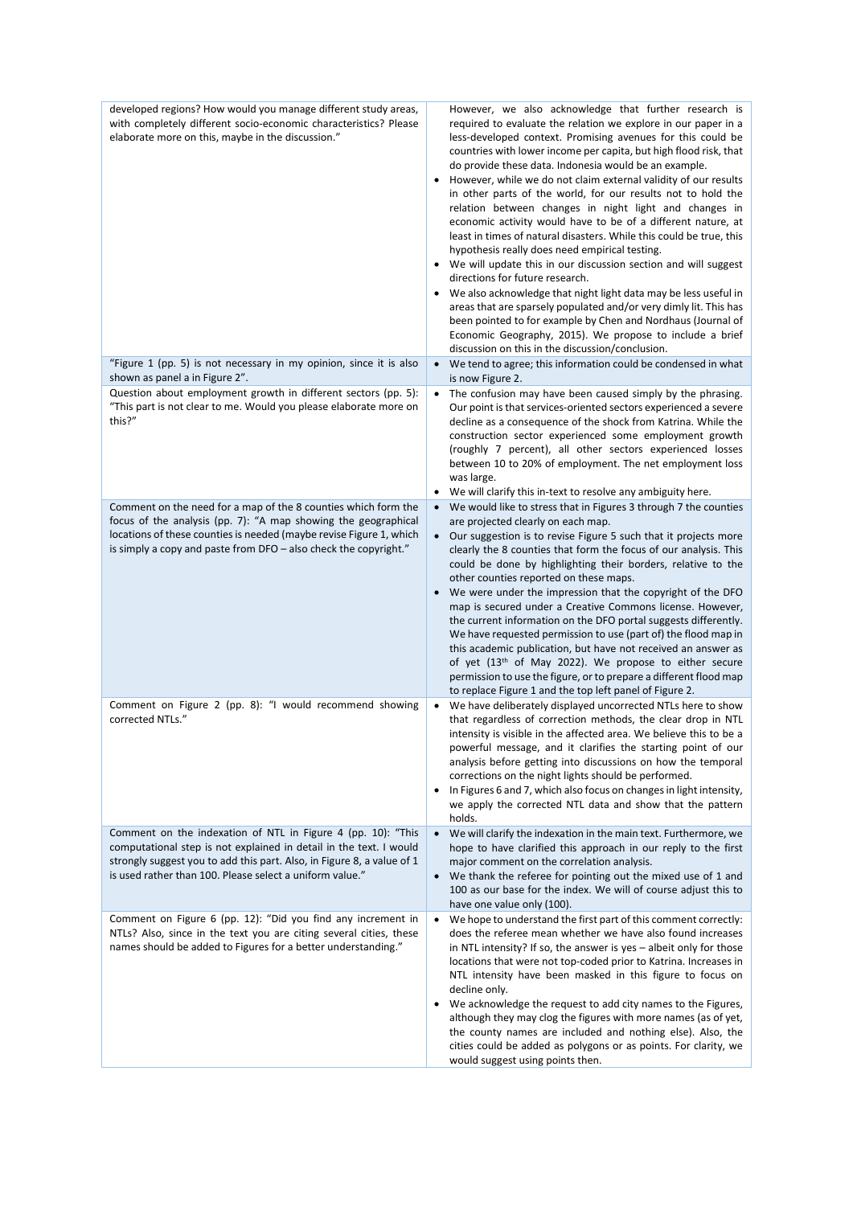| developed regions? How would you manage different study areas,<br>with completely different socio-economic characteristics? Please<br>elaborate more on this, maybe in the discussion."                                                                                  | However, we also acknowledge that further research is<br>required to evaluate the relation we explore in our paper in a<br>less-developed context. Promising avenues for this could be<br>countries with lower income per capita, but high flood risk, that<br>do provide these data. Indonesia would be an example.<br>However, while we do not claim external validity of our results<br>in other parts of the world, for our results not to hold the<br>relation between changes in night light and changes in<br>economic activity would have to be of a different nature, at<br>least in times of natural disasters. While this could be true, this<br>hypothesis really does need empirical testing.<br>• We will update this in our discussion section and will suggest<br>directions for future research.<br>We also acknowledge that night light data may be less useful in<br>areas that are sparsely populated and/or very dimly lit. This has<br>been pointed to for example by Chen and Nordhaus (Journal of<br>Economic Geography, 2015). We propose to include a brief<br>discussion on this in the discussion/conclusion. |
|--------------------------------------------------------------------------------------------------------------------------------------------------------------------------------------------------------------------------------------------------------------------------|-------------------------------------------------------------------------------------------------------------------------------------------------------------------------------------------------------------------------------------------------------------------------------------------------------------------------------------------------------------------------------------------------------------------------------------------------------------------------------------------------------------------------------------------------------------------------------------------------------------------------------------------------------------------------------------------------------------------------------------------------------------------------------------------------------------------------------------------------------------------------------------------------------------------------------------------------------------------------------------------------------------------------------------------------------------------------------------------------------------------------------------------|
| "Figure 1 (pp. 5) is not necessary in my opinion, since it is also<br>shown as panel a in Figure 2".                                                                                                                                                                     | We tend to agree; this information could be condensed in what<br>$\bullet$<br>is now Figure 2.                                                                                                                                                                                                                                                                                                                                                                                                                                                                                                                                                                                                                                                                                                                                                                                                                                                                                                                                                                                                                                            |
| Question about employment growth in different sectors (pp. 5):<br>"This part is not clear to me. Would you please elaborate more on<br>this?"                                                                                                                            | The confusion may have been caused simply by the phrasing.<br>$\bullet$<br>Our point is that services-oriented sectors experienced a severe<br>decline as a consequence of the shock from Katrina. While the<br>construction sector experienced some employment growth<br>(roughly 7 percent), all other sectors experienced losses<br>between 10 to 20% of employment. The net employment loss<br>was large.                                                                                                                                                                                                                                                                                                                                                                                                                                                                                                                                                                                                                                                                                                                             |
| Comment on the need for a map of the 8 counties which form the                                                                                                                                                                                                           | We will clarify this in-text to resolve any ambiguity here.<br>We would like to stress that in Figures 3 through 7 the counties<br>$\bullet$                                                                                                                                                                                                                                                                                                                                                                                                                                                                                                                                                                                                                                                                                                                                                                                                                                                                                                                                                                                              |
| focus of the analysis (pp. 7): "A map showing the geographical<br>locations of these counties is needed (maybe revise Figure 1, which<br>is simply a copy and paste from DFO - also check the copyright."                                                                | are projected clearly on each map.<br>Our suggestion is to revise Figure 5 such that it projects more<br>clearly the 8 counties that form the focus of our analysis. This<br>could be done by highlighting their borders, relative to the<br>other counties reported on these maps.<br>We were under the impression that the copyright of the DFO<br>$\bullet$<br>map is secured under a Creative Commons license. However,<br>the current information on the DFO portal suggests differently.<br>We have requested permission to use (part of) the flood map in<br>this academic publication, but have not received an answer as<br>of yet (13 <sup>th</sup> of May 2022). We propose to either secure<br>permission to use the figure, or to prepare a different flood map<br>to replace Figure 1 and the top left panel of Figure 2.                                                                                                                                                                                                                                                                                                   |
| Comment on Figure 2 (pp. 8): "I would recommend showing<br>corrected NTLs."                                                                                                                                                                                              | We have deliberately displayed uncorrected NTLs here to show<br>that regardless of correction methods, the clear drop in NTL<br>intensity is visible in the affected area. We believe this to be a<br>powerful message, and it clarifies the starting point of our<br>analysis before getting into discussions on how the temporal<br>corrections on the night lights should be performed.<br>In Figures 6 and 7, which also focus on changes in light intensity,<br>$\bullet$<br>we apply the corrected NTL data and show that the pattern<br>holds.                                                                                                                                                                                                                                                                                                                                                                                                                                                                                                                                                                                     |
| Comment on the indexation of NTL in Figure 4 (pp. 10): "This<br>computational step is not explained in detail in the text. I would<br>strongly suggest you to add this part. Also, in Figure 8, a value of 1<br>is used rather than 100. Please select a uniform value." | We will clarify the indexation in the main text. Furthermore, we<br>$\bullet$<br>hope to have clarified this approach in our reply to the first<br>major comment on the correlation analysis.<br>We thank the referee for pointing out the mixed use of 1 and<br>$\bullet$<br>100 as our base for the index. We will of course adjust this to<br>have one value only (100).                                                                                                                                                                                                                                                                                                                                                                                                                                                                                                                                                                                                                                                                                                                                                               |
| Comment on Figure 6 (pp. 12): "Did you find any increment in<br>NTLs? Also, since in the text you are citing several cities, these<br>names should be added to Figures for a better understanding."                                                                      | We hope to understand the first part of this comment correctly:<br>$\bullet$<br>does the referee mean whether we have also found increases<br>in NTL intensity? If so, the answer is yes - albeit only for those<br>locations that were not top-coded prior to Katrina. Increases in<br>NTL intensity have been masked in this figure to focus on<br>decline only.<br>We acknowledge the request to add city names to the Figures,<br>although they may clog the figures with more names (as of yet,<br>the county names are included and nothing else). Also, the<br>cities could be added as polygons or as points. For clarity, we<br>would suggest using points then.                                                                                                                                                                                                                                                                                                                                                                                                                                                                 |